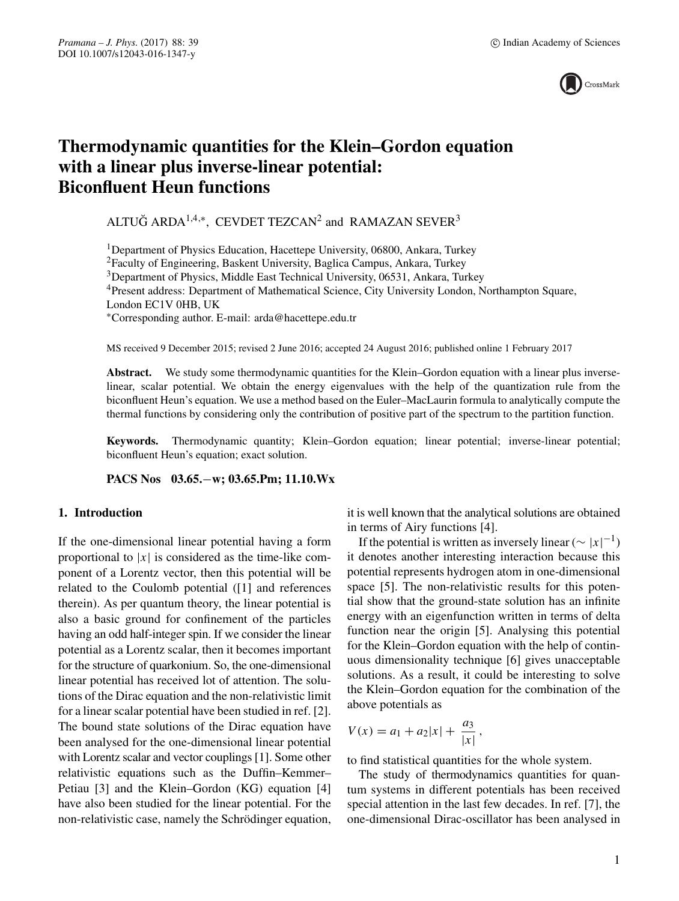

# **Thermodynamic quantities for the Klein–Gordon equation with a linear plus inverse-linear potential: Biconfluent Heun functions**

ALTUĞ ARDA $^{1,4,*}$ , CEVDET TEZCAN<sup>2</sup> and RAMAZAN SEVER<sup>3</sup>

<sup>1</sup>Department of Physics Education, Hacettepe University, 06800, Ankara, Turkey

2Faculty of Engineering, Baskent University, Baglica Campus, Ankara, Turkey

3Department of Physics, Middle East Technical University, 06531, Ankara, Turkey

4Present address: Department of Mathematical Science, City University London, Northampton Square,

London EC1V 0HB, UK

∗Corresponding author. E-mail: arda@hacettepe.edu.tr

MS received 9 December 2015; revised 2 June 2016; accepted 24 August 2016; published online 1 February 2017

Abstract. We study some thermodynamic quantities for the Klein–Gordon equation with a linear plus inverselinear, scalar potential. We obtain the energy eigenvalues with the help of the quantization rule from the biconfluent Heun's equation. We use a method based on the Euler–MacLaurin formula to analytically compute the thermal functions by considering only the contribution of positive part of the spectrum to the partition function.

**Keywords.** Thermodynamic quantity; Klein–Gordon equation; linear potential; inverse-linear potential; biconfluent Heun's equation; exact solution.

**PACS Nos 03.65.**−**w; 03.65.Pm; 11.10.Wx**

# **1. Introduction**

If the one-dimensional linear potential having a form proportional to  $|x|$  is considered as the time-like component of a Lorentz vector, then this potential will be related to the Coulomb potential ([1] and references therein). As per quantum theory, the linear potential is also a basic ground for confinement of the particles having an odd half-integer spin. If we consider the linear potential as a Lorentz scalar, then it becomes important for the structure of quarkonium. So, the one-dimensional linear potential has received lot of attention. The solutions of the Dirac equation and the non-relativistic limit for a linear scalar potential have been studied in ref. [2]. The bound state solutions of the Dirac equation have been analysed for the one-dimensional linear potential with Lorentz scalar and vector couplings [1]. Some other relativistic equations such as the Duffin–Kemmer– Petiau [3] and the Klein–Gordon (KG) equation [4] have also been studied for the linear potential. For the non-relativistic case, namely the Schrödinger equation, it is well known that the analytical solutions are obtained in terms of Airy functions [4].

If the potential is written as inversely linear ( $\sim |x|^{-1}$ ) it denotes another interesting interaction because this potential represents hydrogen atom in one-dimensional space [5]. The non-relativistic results for this potential show that the ground-state solution has an infinite energy with an eigenfunction written in terms of delta function near the origin [5]. Analysing this potential for the Klein–Gordon equation with the help of continuous dimensionality technique [6] gives unacceptable solutions. As a result, it could be interesting to solve the Klein–Gordon equation for the combination of the above potentials as

$$
V(x) = a_1 + a_2|x| + \frac{a_3}{|x|},
$$

to find statistical quantities for the whole system.

The study of thermodynamics quantities for quantum systems in different potentials has been received special attention in the last few decades. In ref. [7], the one-dimensional Dirac-oscillator has been analysed in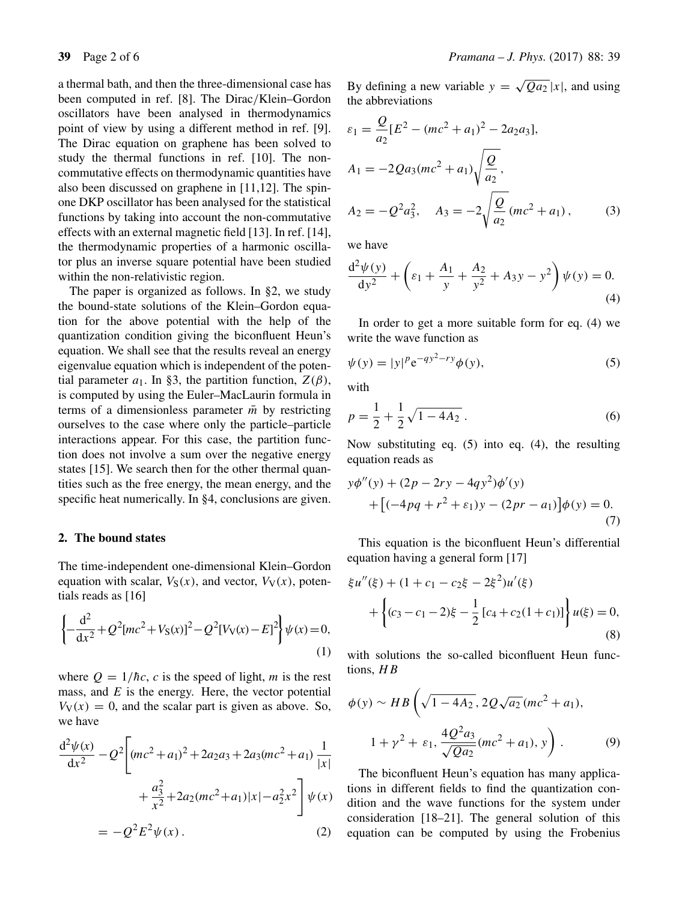a thermal bath, and then the three-dimensional case has been computed in ref. [8]. The Dirac/Klein–Gordon oscillators have been analysed in thermodynamics point of view by using a different method in ref. [9]. The Dirac equation on graphene has been solved to study the thermal functions in ref. [10]. The noncommutative effects on thermodynamic quantities have also been discussed on graphene in [11,12]. The spinone DKP oscillator has been analysed for the statistical functions by taking into account the non-commutative effects with an external magnetic field [13]. In ref. [14], the thermodynamic properties of a harmonic oscillator plus an inverse square potential have been studied within the non-relativistic region.

The paper is organized as follows. In §2, we study the bound-state solutions of the Klein–Gordon equation for the above potential with the help of the quantization condition giving the biconfluent Heun's equation. We shall see that the results reveal an energy eigenvalue equation which is independent of the potential parameter  $a_1$ . In §3, the partition function,  $Z(\beta)$ , is computed by using the Euler–MacLaurin formula in terms of a dimensionless parameter  $\bar{m}$  by restricting ourselves to the case where only the particle–particle interactions appear. For this case, the partition function does not involve a sum over the negative energy states [15]. We search then for the other thermal quantities such as the free energy, the mean energy, and the specific heat numerically. In §4, conclusions are given.

#### **2. The bound states**

The time-independent one-dimensional Klein–Gordon equation with scalar,  $V_S(x)$ , and vector,  $V_V(x)$ , potentials reads as [16]

$$
\left\{-\frac{d^2}{dx^2} + Q^2[mc^2 + V_S(x)]^2 - Q^2[V_V(x) - E]^2\right\}\psi(x) = 0,
$$
\n(1)

where  $Q = 1/\hbar c$ , c is the speed of light, m is the rest mass, and  $E$  is the energy. Here, the vector potential  $V_V(x) = 0$ , and the scalar part is given as above. So, we have

$$
\frac{d^2\psi(x)}{dx^2} - Q^2 \left[ (mc^2 + a_1)^2 + 2a_2a_3 + 2a_3(mc^2 + a_1) \frac{1}{|x|} + \frac{a_3^2}{x^2} + 2a_2(mc^2 + a_1)|x| - a_2^2x^2 \right] \psi(x)
$$
  
=  $-Q^2E^2\psi(x)$ . (2)

By defining a new variable  $y = \sqrt{Qa_2}|x|$ , and using the abbreviations

$$
\varepsilon_1 = \frac{Q}{a_2} [E^2 - (mc^2 + a_1)^2 - 2a_2 a_3],
$$
  
\n
$$
A_1 = -2Q a_3 (mc^2 + a_1) \sqrt{\frac{Q}{a_2}},
$$
  
\n
$$
A_2 = -Q^2 a_3^2, \quad A_3 = -2 \sqrt{\frac{Q}{a_2}} (mc^2 + a_1),
$$
\n(3)

we have

$$
\frac{d^2\psi(y)}{dy^2} + \left(\varepsilon_1 + \frac{A_1}{y} + \frac{A_2}{y^2} + A_3y - y^2\right)\psi(y) = 0.
$$
\n(4)

In order to get a more suitable form for eq. (4) we write the wave function as

$$
\psi(y) = |y|^p e^{-qy^2 - ry} \phi(y),
$$
\n(5)

with

$$
p = \frac{1}{2} + \frac{1}{2}\sqrt{1 - 4A_2} \,. \tag{6}
$$

Now substituting eq. (5) into eq. (4), the resulting equation reads as

$$
y\phi''(y) + (2p - 2ry - 4qy^{2})\phi'(y)
$$
  
+ [(-4pq + r<sup>2</sup> + ε<sub>1</sub>)y - (2pr - a<sub>1</sub>)] $\phi(y) = 0.$  (7)

This equation is the biconfluent Heun's differential equation having a general form [17]

$$
\xi u''(\xi) + (1 + c_1 - c_2 \xi - 2\xi^2) u'(\xi)
$$
  
+ 
$$
\left\{ (c_3 - c_1 - 2)\xi - \frac{1}{2} [c_4 + c_2 (1 + c_1)] \right\} u(\xi) = 0,
$$
  
(8)

with solutions the so-called biconfluent Heun functions, HB

$$
\phi(y) \sim HB\left(\sqrt{1-4A_2}, 2Q\sqrt{a_2}(mc^2 + a_1),\right.\
$$

$$
1 + \gamma^2 + \varepsilon_1, \frac{4Q^2a_3}{\sqrt{Qa_2}}(mc^2 + a_1), y\right). \tag{9}
$$

The biconfluent Heun's equation has many applications in different fields to find the quantization condition and the wave functions for the system under consideration [18–21]. The general solution of this equation can be computed by using the Frobenius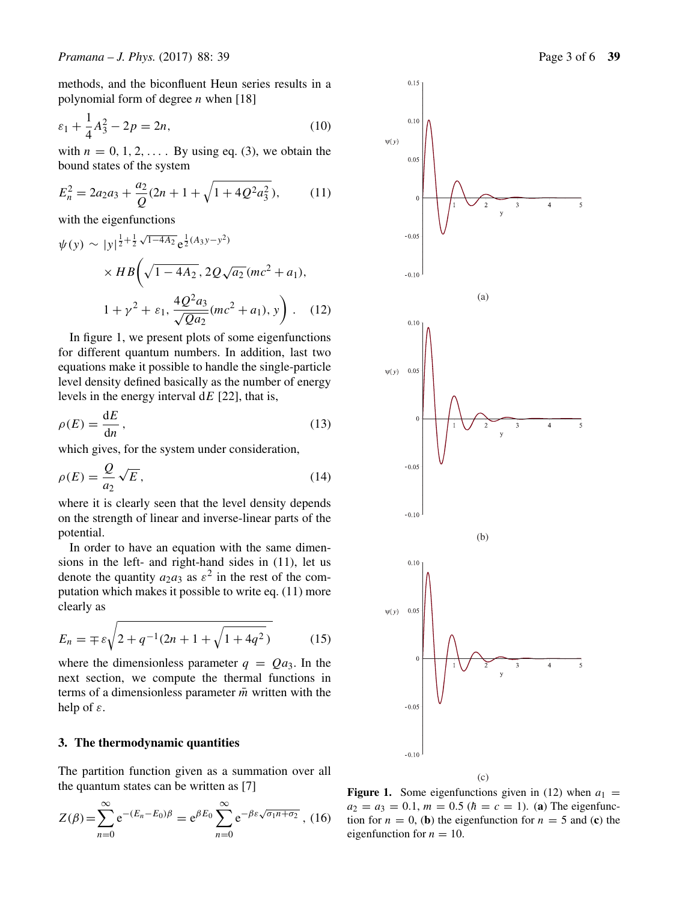methods, and the biconfluent Heun series results in a polynomial form of degree  $n$  when [18]

$$
\varepsilon_1 + \frac{1}{4}A_3^2 - 2p = 2n,\tag{10}
$$

with  $n = 0, 1, 2, \ldots$  By using eq. (3), we obtain the bound states of the system

$$
E_n^2 = 2a_2a_3 + \frac{a_2}{Q}(2n + 1 + \sqrt{1 + 4Q^2a_3^2}),\tag{11}
$$

with the eigenfunctions

$$
\psi(y) \sim |y|^{\frac{1}{2} + \frac{1}{2}\sqrt{1 - 4A_2}} e^{\frac{1}{2}(A_3 y - y^2)} \times HB\left(\sqrt{1 - 4A_2}, 2Q\sqrt{a_2}(mc^2 + a_1),\right.
$$
  

$$
1 + \gamma^2 + \varepsilon_1, \frac{4Q^2 a_3}{\sqrt{Q a_2}}(mc^2 + a_1), y\right).
$$
 (12)

In figure 1, we present plots of some eigenfunctions for different quantum numbers. In addition, last two equations make it possible to handle the single-particle level density defined basically as the number of energy levels in the energy interval  $dE$  [22], that is,

$$
\rho(E) = \frac{\mathrm{d}E}{\mathrm{d}n},\tag{13}
$$

which gives, for the system under consideration,

$$
\rho(E) = \frac{Q}{a_2} \sqrt{E},\tag{14}
$$

where it is clearly seen that the level density depends on the strength of linear and inverse-linear parts of the potential.

In order to have an equation with the same dimensions in the left- and right-hand sides in (11), let us denote the quantity  $a_2a_3$  as  $\varepsilon^2$  in the rest of the computation which makes it possible to write eq. (11) more clearly as

$$
E_n = \mp \varepsilon \sqrt{2 + q^{-1}(2n + 1 + \sqrt{1 + 4q^2})}
$$
 (15)

where the dimensionless parameter  $q = Qa_3$ . In the next section, we compute the thermal functions in terms of a dimensionless parameter  $\bar{m}$  written with the help of  $\varepsilon$ .

# **3. The thermodynamic quantities**

The partition function given as a summation over all the quantum states can be written as [7]

$$
Z(\beta) = \sum_{n=0}^{\infty} e^{-(E_n - E_0)\beta} = e^{\beta E_0} \sum_{n=0}^{\infty} e^{-\beta \varepsilon \sqrt{\sigma_1 n + \sigma_2}}, (16)
$$



**Figure 1.** Some eigenfunctions given in (12) when  $a_1 =$  $a_2 = a_3 = 0.1$ ,  $m = 0.5$  ( $\hbar = c = 1$ ). (**a**) The eigenfunction for  $n = 0$ , (**b**) the eigenfunction for  $n = 5$  and (**c**) the eigenfunction for  $n = 10$ .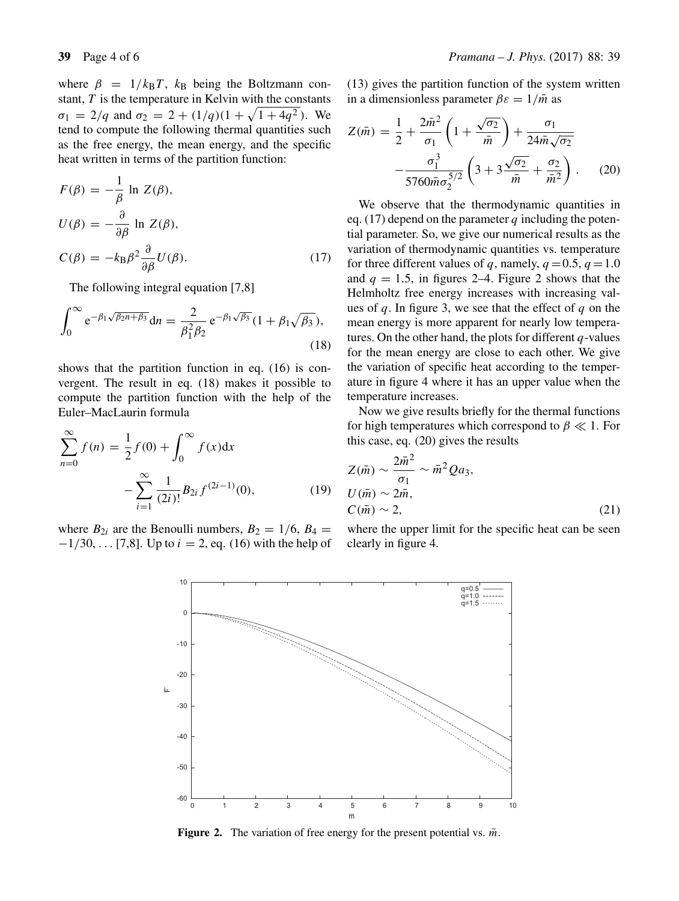where  $\beta = 1/k_B T$ ,  $k_B$  being the Boltzmann constant,  $T$  is the temperature in Kelvin with the constants  $\sigma_1 = 2/q$  and  $\sigma_2 = 2 + (1/q)(1 + \sqrt{1 + 4q^2})$ . We tend to compute the following thermal quantities such as the free energy, the mean energy, and the specific heat written in terms of the partition function:

$$
F(\beta) = -\frac{1}{\beta} \ln Z(\beta),
$$
  
\n
$$
U(\beta) = -\frac{\partial}{\partial \beta} \ln Z(\beta),
$$
  
\n
$$
C(\beta) = -k_{\text{B}}\beta^2 \frac{\partial}{\partial \beta}U(\beta).
$$
\n(17)

The following integral equation [7,8]

$$
\int_0^\infty e^{-\beta_1\sqrt{\beta_2 n + \beta_3}} dn = \frac{2}{\beta_1^2 \beta_2} e^{-\beta_1\sqrt{\beta_3}} (1 + \beta_1\sqrt{\beta_3}),
$$
\n(18)

shows that the partition function in eq. (16) is convergent. The result in eq. (18) makes it possible to compute the partition function with the help of the Euler–MacLaurin formula

$$
\sum_{n=0}^{\infty} f(n) = \frac{1}{2} f(0) + \int_0^{\infty} f(x) dx
$$

$$
- \sum_{i=1}^{\infty} \frac{1}{(2i)!} B_{2i} f^{(2i-1)}(0), \tag{19}
$$

where  $B_{2i}$  are the Benoulli numbers,  $B_2 = 1/6$ ,  $B_4 =$  $-1/30, \ldots$  [7,8]. Up to  $i = 2$ , eq. (16) with the help of (13) gives the partition function of the system written in a dimensionless parameter  $\beta \varepsilon = 1/\overline{m}$  as

$$
Z(\bar{m}) = \frac{1}{2} + \frac{2\bar{m}^2}{\sigma_1} \left( 1 + \frac{\sqrt{\sigma_2}}{\bar{m}} \right) + \frac{\sigma_1}{24\bar{m}\sqrt{\sigma_2}} - \frac{\sigma_1^3}{5760\bar{m}\sigma_2^{5/2}} \left( 3 + 3\frac{\sqrt{\sigma_2}}{\bar{m}} + \frac{\sigma_2}{\bar{m}^2} \right). \tag{20}
$$

We observe that the thermodynamic quantities in eq. (17) depend on the parameter  $q$  including the potential parameter. So, we give our numerical results as the variation of thermodynamic quantities vs. temperature for three different values of q, namely,  $q = 0.5$ ,  $q = 1.0$ and  $q = 1.5$ , in figures 2–4. Figure 2 shows that the Helmholtz free energy increases with increasing values of  $q$ . In figure 3, we see that the effect of  $q$  on the mean energy is more apparent for nearly low temperatures. On the other hand, the plots for different  $q$ -values for the mean energy are close to each other. We give the variation of specific heat according to the temperature in figure 4 where it has an upper value when the temperature increases.

Now we give results briefly for the thermal functions for high temperatures which correspond to  $\beta \ll 1$ . For this case, eq. (20) gives the results

$$
Z(\bar{m}) \sim \frac{2\bar{m}^2}{\sigma_1} \sim \bar{m}^2 Q a_3,
$$
  
\n
$$
U(\bar{m}) \sim 2\bar{m},
$$
  
\n
$$
C(\bar{m}) \sim 2,
$$
\n(21)

where the upper limit for the specific heat can be seen clearly in figure 4.



**Figure 2.** The variation of free energy for the present potential vs.  $\bar{m}$ .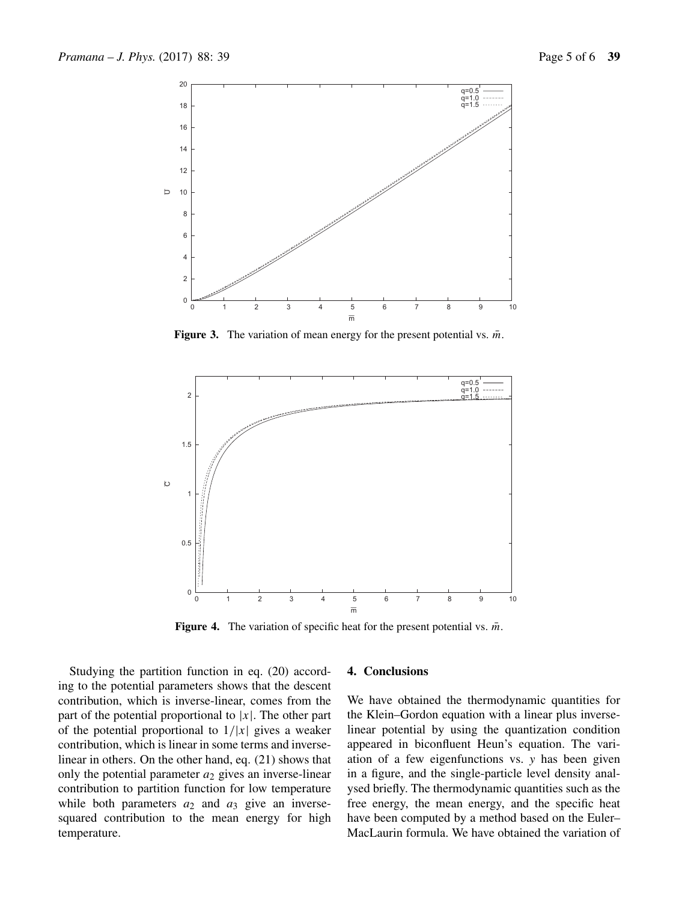

**Figure 3.** The variation of mean energy for the present potential vs.  $\bar{m}$ .



**Figure 4.** The variation of specific heat for the present potential vs.  $\bar{m}$ .

Studying the partition function in eq. (20) according to the potential parameters shows that the descent contribution, which is inverse-linear, comes from the part of the potential proportional to  $|x|$ . The other part of the potential proportional to  $1/|x|$  gives a weaker contribution, which is linear in some terms and inverselinear in others. On the other hand, eq. (21) shows that only the potential parameter  $a_2$  gives an inverse-linear contribution to partition function for low temperature while both parameters  $a_2$  and  $a_3$  give an inversesquared contribution to the mean energy for high temperature.

### **4. Conclusions**

We have obtained the thermodynamic quantities for the Klein–Gordon equation with a linear plus inverselinear potential by using the quantization condition appeared in biconfluent Heun's equation. The variation of a few eigenfunctions vs. *y* has been given in a figure, and the single-particle level density analysed briefly. The thermodynamic quantities such as the free energy, the mean energy, and the specific heat have been computed by a method based on the Euler– MacLaurin formula. We have obtained the variation of